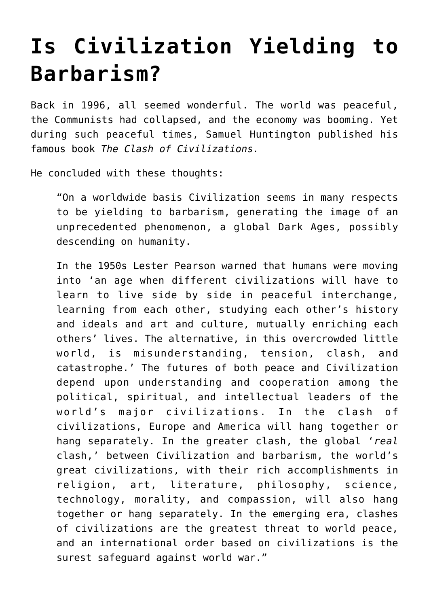## **[Is Civilization Yielding to](https://intellectualtakeout.org/2015/11/is-civilization-yielding-to-barbarism/) [Barbarism?](https://intellectualtakeout.org/2015/11/is-civilization-yielding-to-barbarism/)**

Back in 1996, all seemed wonderful. The world was peaceful, the Communists had collapsed, and the economy was booming. Yet during such peaceful times, Samuel Huntington published his famous book *The Clash of Civilizations.*

He concluded with these thoughts:

"On a worldwide basis Civilization seems in many respects to be yielding to barbarism, generating the image of an unprecedented phenomenon, a global Dark Ages, possibly descending on humanity.

In the 1950s Lester Pearson warned that humans were moving into 'an age when different civilizations will have to learn to live side by side in peaceful interchange, learning from each other, studying each other's history and ideals and art and culture, mutually enriching each others' lives. The alternative, in this overcrowded little world, is misunderstanding, tension, clash, and catastrophe.' The futures of both peace and Civilization depend upon understanding and cooperation among the political, spiritual, and intellectual leaders of the world's major civilizations. In the clash of civilizations, Europe and America will hang together or hang separately. In the greater clash, the global '*real* clash,' between Civilization and barbarism, the world's great civilizations, with their rich accomplishments in religion, art, literature, philosophy, science, technology, morality, and compassion, will also hang together or hang separately. In the emerging era, clashes of civilizations are the greatest threat to world peace, and an international order based on civilizations is the surest safeguard against world war."